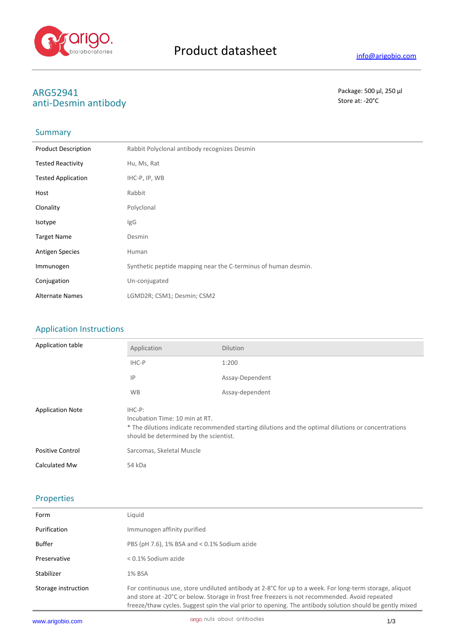

# **ARG52941** Package: 500 μl, 250 μl<br>
anti-Desmin antibody<br>
anti-Desmin antibody anti-Desmin antibody

### **Summary**

| <b>Product Description</b> | Rabbit Polyclonal antibody recognizes Desmin                   |
|----------------------------|----------------------------------------------------------------|
| <b>Tested Reactivity</b>   | Hu, Ms, Rat                                                    |
| <b>Tested Application</b>  | IHC-P, IP, WB                                                  |
| Host                       | Rabbit                                                         |
| Clonality                  | Polyclonal                                                     |
| Isotype                    | lgG                                                            |
| <b>Target Name</b>         | Desmin                                                         |
| <b>Antigen Species</b>     | Human                                                          |
| Immunogen                  | Synthetic peptide mapping near the C-terminus of human desmin. |
| Conjugation                | Un-conjugated                                                  |
| <b>Alternate Names</b>     | LGMD2R; CSM1; Desmin; CSM2                                     |

## Application Instructions

| Application table       | Application                                                                                                                                                                               | <b>Dilution</b> |
|-------------------------|-------------------------------------------------------------------------------------------------------------------------------------------------------------------------------------------|-----------------|
|                         | IHC-P                                                                                                                                                                                     | 1:200           |
|                         | IP                                                                                                                                                                                        | Assay-Dependent |
|                         | <b>WB</b>                                                                                                                                                                                 | Assay-dependent |
| <b>Application Note</b> | IHC-P:<br>Incubation Time: 10 min at RT.<br>* The dilutions indicate recommended starting dilutions and the optimal dilutions or concentrations<br>should be determined by the scientist. |                 |
| <b>Positive Control</b> | Sarcomas, Skeletal Muscle                                                                                                                                                                 |                 |
| Calculated Mw           | 54 kDa                                                                                                                                                                                    |                 |

#### Properties

| Form                | Liguid                                                                                                                                                                                                                                                                                                               |
|---------------------|----------------------------------------------------------------------------------------------------------------------------------------------------------------------------------------------------------------------------------------------------------------------------------------------------------------------|
| Purification        | Immunogen affinity purified                                                                                                                                                                                                                                                                                          |
| Buffer              | PBS (pH 7.6), 1% BSA and $<$ 0.1% Sodium azide                                                                                                                                                                                                                                                                       |
| Preservative        | $< 0.1\%$ Sodium azide                                                                                                                                                                                                                                                                                               |
| Stabilizer          | 1% BSA                                                                                                                                                                                                                                                                                                               |
| Storage instruction | For continuous use, store undiluted antibody at 2-8°C for up to a week. For long-term storage, aliquot<br>and store at -20°C or below. Storage in frost free freezers is not recommended. Avoid repeated<br>freeze/thaw cycles. Suggest spin the vial prior to opening. The antibody solution should be gently mixed |
|                     |                                                                                                                                                                                                                                                                                                                      |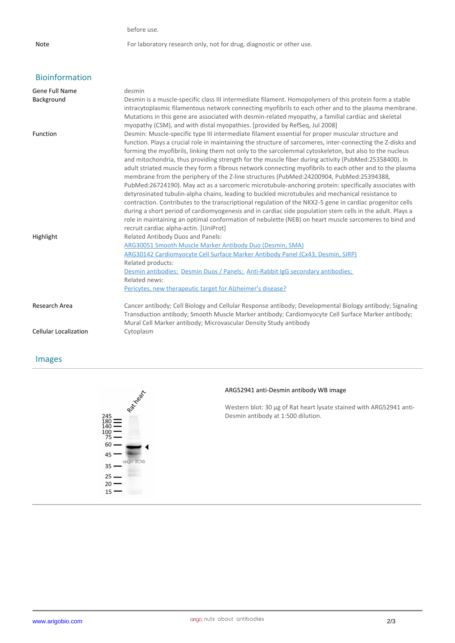before use.

Note For laboratory research only, not for drug, diagnostic or other use.

## Bioinformation

| <b>Gene Full Name</b><br>Background | desmin<br>Desmin is a muscle-specific class III intermediate filament. Homopolymers of this protein form a stable                                                                                                                                                                                                                                                                                                                                                                                                                                                                                                                                                                                                                                                                                                                                                                                                                                                                                                                                                                                                                                                                         |
|-------------------------------------|-------------------------------------------------------------------------------------------------------------------------------------------------------------------------------------------------------------------------------------------------------------------------------------------------------------------------------------------------------------------------------------------------------------------------------------------------------------------------------------------------------------------------------------------------------------------------------------------------------------------------------------------------------------------------------------------------------------------------------------------------------------------------------------------------------------------------------------------------------------------------------------------------------------------------------------------------------------------------------------------------------------------------------------------------------------------------------------------------------------------------------------------------------------------------------------------|
|                                     | intracytoplasmic filamentous network connecting myofibrils to each other and to the plasma membrane.<br>Mutations in this gene are associated with desmin-related myopathy, a familial cardiac and skeletal<br>myopathy (CSM), and with distal myopathies. [provided by RefSeq, Jul 2008]                                                                                                                                                                                                                                                                                                                                                                                                                                                                                                                                                                                                                                                                                                                                                                                                                                                                                                 |
| Function                            | Desmin: Muscle-specific type III intermediate filament essential for proper muscular structure and<br>function. Plays a crucial role in maintaining the structure of sarcomeres, inter-connecting the Z-disks and<br>forming the myofibrils, linking them not only to the sarcolemmal cytoskeleton, but also to the nucleus<br>and mitochondria, thus providing strength for the muscle fiber during activity (PubMed:25358400). In<br>adult striated muscle they form a fibrous network connecting myofibrils to each other and to the plasma<br>membrane from the periphery of the Z-line structures (PubMed:24200904, PubMed:25394388,<br>PubMed:26724190). May act as a sarcomeric microtubule-anchoring protein: specifically associates with<br>detyrosinated tubulin-alpha chains, leading to buckled microtubules and mechanical resistance to<br>contraction. Contributes to the transcriptional regulation of the NKX2-5 gene in cardiac progenitor cells<br>during a short period of cardiomyogenesis and in cardiac side population stem cells in the adult. Plays a<br>role in maintaining an optimal conformation of nebulette (NEB) on heart muscle sarcomeres to bind and |
|                                     | recruit cardiac alpha-actin. [UniProt]                                                                                                                                                                                                                                                                                                                                                                                                                                                                                                                                                                                                                                                                                                                                                                                                                                                                                                                                                                                                                                                                                                                                                    |
| Highlight                           | <b>Related Antibody Duos and Panels:</b><br>ARG30051 Smooth Muscle Marker Antibody Duo (Desmin, SMA)<br>ARG30142 Cardiomyocyte Cell Surface Marker Antibody Panel (Cx43, Desmin, SIRP)<br>Related products:<br>Desmin antibodies; Desmin Duos / Panels; Anti-Rabbit IgG secondary antibodies;<br>Related news:<br>Pericytes, new therapeutic target for Alzheimer's disease?                                                                                                                                                                                                                                                                                                                                                                                                                                                                                                                                                                                                                                                                                                                                                                                                              |
| Research Area                       | Cancer antibody; Cell Biology and Cellular Response antibody; Developmental Biology antibody; Signaling<br>Transduction antibody; Smooth Muscle Marker antibody; Cardiomyocyte Cell Surface Marker antibody;<br>Mural Cell Marker antibody; Microvascular Density Study antibody                                                                                                                                                                                                                                                                                                                                                                                                                                                                                                                                                                                                                                                                                                                                                                                                                                                                                                          |
| <b>Cellular Localization</b>        | Cytoplasm                                                                                                                                                                                                                                                                                                                                                                                                                                                                                                                                                                                                                                                                                                                                                                                                                                                                                                                                                                                                                                                                                                                                                                                 |

## Images



#### **ARG52941 anti-Desmin antibody WB image**

Western blot: 30 µg of Rat heart lysate stained with ARG52941 anti-Desmin antibody at 1:500 dilution.